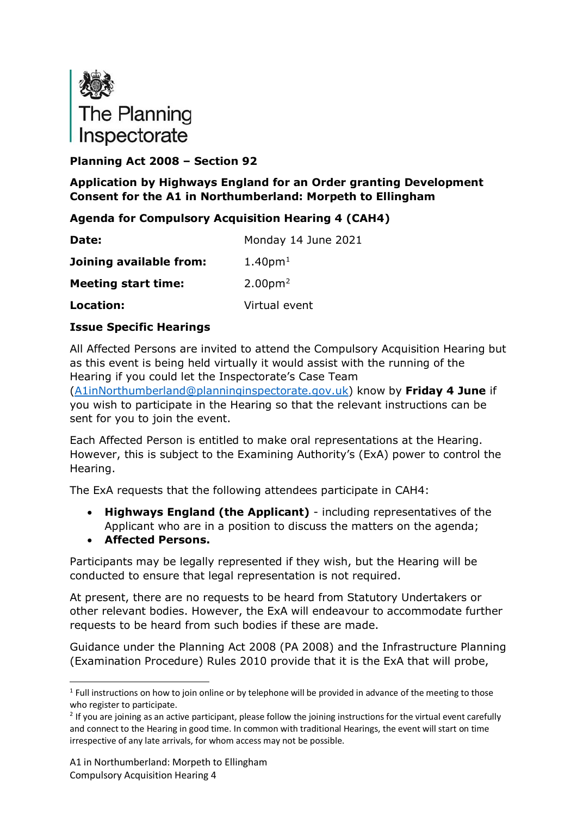

# **Planning Act 2008 – Section 92**

# **Application by Highways England for an Order granting Development Consent for the A1 in Northumberland: Morpeth to Ellingham**

# **Agenda for Compulsory Acquisition Hearing 4 (CAH4)**

| Date:                      | Monday 14 June 2021             |
|----------------------------|---------------------------------|
| Joining available from:    | 1.40 <sub>pm1</sub>             |
| <b>Meeting start time:</b> | 2.00 <sub>pm</sub> <sup>2</sup> |
| Location:                  | Virtual event                   |

# **Issue Specific Hearings**

All Affected Persons are invited to attend the Compulsory Acquisition Hearing but as this event is being held virtually it would assist with the running of the Hearing if you could let the Inspectorate's Case Team

[\(A1inNorthumberland@planninginspectorate.gov.uk\)](mailto:A1inNorthumberland@planninginspectorate.gov.uk) know by **Friday 4 June** if you wish to participate in the Hearing so that the relevant instructions can be sent for you to join the event.

Each Affected Person is entitled to make oral representations at the Hearing. However, this is subject to the Examining Authority's (ExA) power to control the Hearing.

The ExA requests that the following attendees participate in CAH4:

- **Highways England (the Applicant)** including representatives of the Applicant who are in a position to discuss the matters on the agenda;
- **Affected Persons.**

Participants may be legally represented if they wish, but the Hearing will be conducted to ensure that legal representation is not required.

At present, there are no requests to be heard from Statutory Undertakers or other relevant bodies. However, the ExA will endeavour to accommodate further requests to be heard from such bodies if these are made.

Guidance under the Planning Act 2008 (PA 2008) and the Infrastructure Planning (Examination Procedure) Rules 2010 provide that it is the ExA that will probe,

<span id="page-0-0"></span> $1$  Full instructions on how to join online or by telephone will be provided in advance of the meeting to those who register to participate.

<span id="page-0-1"></span> $2$  If you are joining as an active participant, please follow the joining instructions for the virtual event carefully and connect to the Hearing in good time. In common with traditional Hearings, the event will start on time irrespective of any late arrivals, for whom access may not be possible.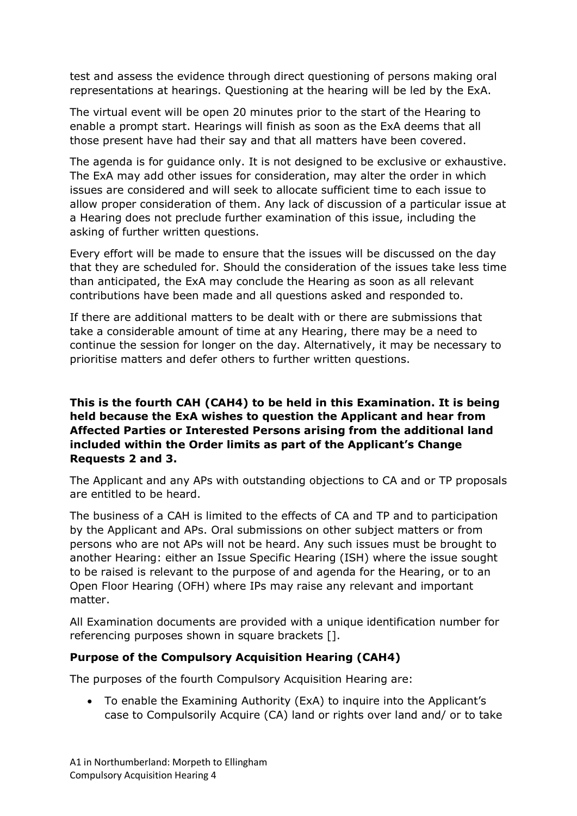test and assess the evidence through direct questioning of persons making oral representations at hearings. Questioning at the hearing will be led by the ExA.

The virtual event will be open 20 minutes prior to the start of the Hearing to enable a prompt start. Hearings will finish as soon as the ExA deems that all those present have had their say and that all matters have been covered.

The agenda is for guidance only. It is not designed to be exclusive or exhaustive. The ExA may add other issues for consideration, may alter the order in which issues are considered and will seek to allocate sufficient time to each issue to allow proper consideration of them. Any lack of discussion of a particular issue at a Hearing does not preclude further examination of this issue, including the asking of further written questions.

Every effort will be made to ensure that the issues will be discussed on the day that they are scheduled for. Should the consideration of the issues take less time than anticipated, the ExA may conclude the Hearing as soon as all relevant contributions have been made and all questions asked and responded to.

If there are additional matters to be dealt with or there are submissions that take a considerable amount of time at any Hearing, there may be a need to continue the session for longer on the day. Alternatively, it may be necessary to prioritise matters and defer others to further written questions.

### **This is the fourth CAH (CAH4) to be held in this Examination. It is being held because the ExA wishes to question the Applicant and hear from Affected Parties or Interested Persons arising from the additional land included within the Order limits as part of the Applicant's Change Requests 2 and 3.**

The Applicant and any APs with outstanding objections to CA and or TP proposals are entitled to be heard.

The business of a CAH is limited to the effects of CA and TP and to participation by the Applicant and APs. Oral submissions on other subject matters or from persons who are not APs will not be heard. Any such issues must be brought to another Hearing: either an Issue Specific Hearing (ISH) where the issue sought to be raised is relevant to the purpose of and agenda for the Hearing, or to an Open Floor Hearing (OFH) where IPs may raise any relevant and important matter.

All Examination documents are provided with a unique identification number for referencing purposes shown in square brackets [].

# **Purpose of the Compulsory Acquisition Hearing (CAH4)**

The purposes of the fourth Compulsory Acquisition Hearing are:

• To enable the Examining Authority (ExA) to inquire into the Applicant's case to Compulsorily Acquire (CA) land or rights over land and/ or to take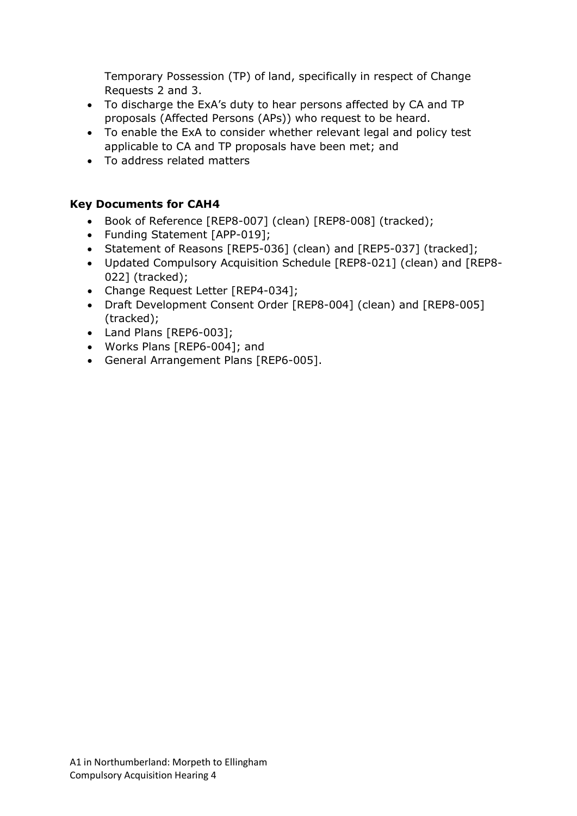Temporary Possession (TP) of land, specifically in respect of Change Requests 2 and 3.

- To discharge the ExA's duty to hear persons affected by CA and TP proposals (Affected Persons (APs)) who request to be heard.
- To enable the ExA to consider whether relevant legal and policy test applicable to CA and TP proposals have been met; and
- To address related matters

# **Key Documents for CAH4**

- Book of Reference [REP8-007] (clean) [REP8-008] (tracked);
- Funding Statement [APP-019];
- Statement of Reasons [REP5-036] (clean) and [REP5-037] (tracked];
- Updated Compulsory Acquisition Schedule [REP8-021] (clean) and [REP8- 022] (tracked);
- Change Request Letter [REP4-034];
- Draft Development Consent Order [REP8-004] (clean) and [REP8-005] (tracked);
- Land Plans [REP6-003];
- Works Plans [REP6-004]; and
- General Arrangement Plans [REP6-005].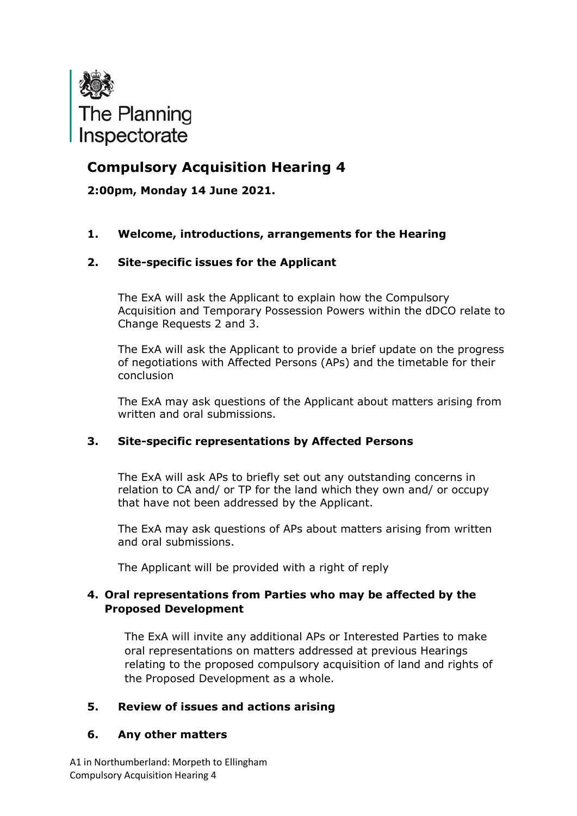

# **Compulsory Acquisition Hearing 4**

**2:00pm, Monday 14 June 2021.**

### **1. Welcome, introductions, arrangements for the Hearing**

#### **2. Site-specific issues for the Applicant**

The ExA will ask the Applicant to explain how the Compulsory Acquisition and Temporary Possession Powers within the dDCO relate to Change Requests 2 and 3.

The ExA will ask the Applicant to provide a brief update on the progress of negotiations with Affected Persons (APs) and the timetable for their conclusion

The ExA may ask questions of the Applicant about matters arising from written and oral submissions.

#### **3. Site-specific representations by Affected Persons**

The ExA will ask APs to briefly set out any outstanding concerns in relation to CA and/ or TP for the land which they own and/ or occupy that have not been addressed by the Applicant.

The ExA may ask questions of APs about matters arising from written and oral submissions.

The Applicant will be provided with a right of reply

#### **4. Oral representations from Parties who may be affected by the Proposed Development**

The ExA will invite any additional APs or Interested Parties to make oral representations on matters addressed at previous Hearings relating to the proposed compulsory acquisition of land and rights of the Proposed Development as a whole.

#### **5. Review of issues and actions arising**

#### **6. Any other matters**

A1 in Northumberland: Morpeth to Ellingham Compulsory Acquisition Hearing 4